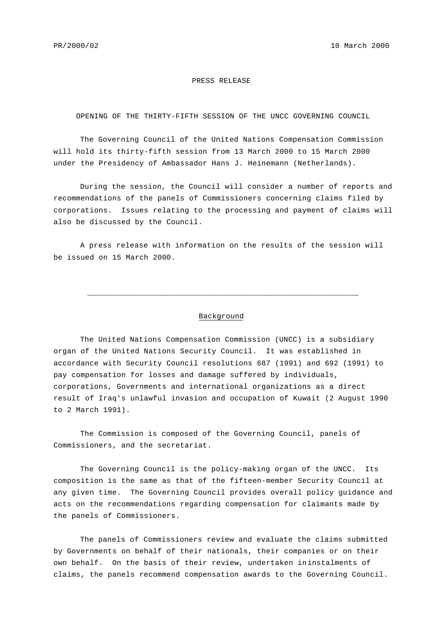## PRESS RELEASE

## OPENING OF THE THIRTY-FIFTH SESSION OF THE UNCC GOVERNING COUNCIL

The Governing Council of the United Nations Compensation Commission will hold its thirty-fifth session from 13 March 2000 to 15 March 2000 under the Presidency of Ambassador Hans J. Heinemann (Netherlands).

During the session, the Council will consider a number of reports and recommendations of the panels of Commissioners concerning claims filed by corporations. Issues relating to the processing and payment of claims will also be discussed by the Council.

A press release with information on the results of the session will be issued on 15 March 2000.

## Background

\_\_\_\_\_\_\_\_\_\_\_\_\_\_\_\_\_\_\_\_\_\_\_\_\_\_\_\_\_\_\_\_\_\_\_\_\_\_\_\_\_\_\_\_\_\_\_\_\_\_\_\_\_\_\_\_\_\_\_\_

The United Nations Compensation Commission (UNCC) is a subsidiary organ of the United Nations Security Council. It was established in accordance with Security Council resolutions 687 (1991) and 692 (1991) to pay compensation for losses and damage suffered by individuals, corporations, Governments and international organizations as a direct result of Iraq's unlawful invasion and occupation of Kuwait (2 August 1990 to 2 March 1991).

The Commission is composed of the Governing Council, panels of Commissioners, and the secretariat.

The Governing Council is the policy-making organ of the UNCC. Its composition is the same as that of the fifteen-member Security Council at any given time. The Governing Council provides overall policy guidance and acts on the recommendations regarding compensation for claimants made by the panels of Commissioners.

The panels of Commissioners review and evaluate the claims submitted by Governments on behalf of their nationals, their companies or on their own behalf. On the basis of their review, undertaken ininstalments of claims, the panels recommend compensation awards to the Governing Council.